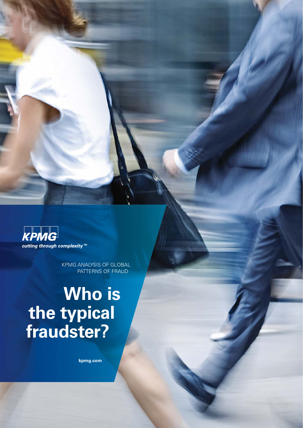**KPMG**  $\frac{2}{\pi}$  and  $\frac{2}{\pi}$  and  $\frac{2}{\pi}$  complexity <sup>™</sup>

> KPMG ANALYSIS OF GLOBAL PATTERNS OF FRAUD

# **Who is the typical fraudster?**

**[kpmg.com](http://www.kpmg.com)**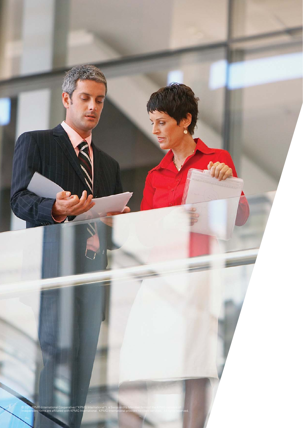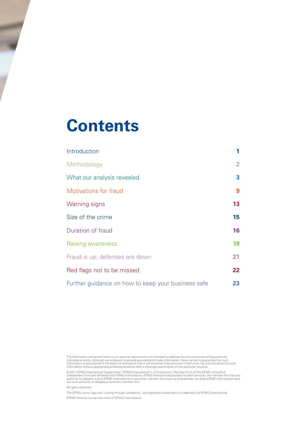# **Contents**

| Introduction                                       | 1               |
|----------------------------------------------------|-----------------|
| Methodology                                        | $\mathbf{2}$    |
| What our analysis revealed                         | 3               |
| Motivations for fraud                              | 9               |
| <b>Warning signs</b>                               | 13 <sup>°</sup> |
| Size of the crime                                  | 15              |
| Duration of fraud                                  | 16              |
| Raising awareness                                  | 18              |
| Fraud is up; defenses are down                     | 21              |
| Red flags not to be missed                         | $22 \,$         |
| Further guidance on how to keep your business safe | 23              |

The information contained herein is of a general nature and is not intended to address the circumstances of any particular individual or entity. Although we endeavor to provide accurate and timely information, there can be no guarantee that such<br>information is accurate as of the date it is received or that it will continue to be accurate in th

© 2011 KPMG International Cooperative ("KPMG International"), a Swiss entity. Member firms of the KPMG network of<br>independent firms are affiliated with KPMG International. KPMG International provides no client services. No

All rights reserved.

The KPMG name, logo and "cutting through complexity" are registered trademarks or trademarks of KPMG International. KPMG Forensic is a service mark of KPMG International.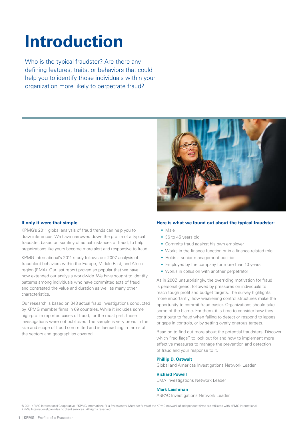# <span id="page-3-0"></span>**Introduction**

Who is the typical fraudster? Are there any defining features, traits, or behaviors that could help you to identify those individuals within your organization more likely to perpetrate fraud?



# **If only it were that simple**

KPMG's 2011 global analysis of fraud trends can help you to draw inferences. We have narrowed down the profile of a typical fraudster, based on scrutiny of actual instances of fraud, to help organizations like yours become more alert and responsive to fraud.

KPMG International's 2011 study follows our 2007 analysis of fraudulent behaviors within the Europe, Middle East, and Africa region (EMA). Our last report proved so popular that we have now extended our analysis worldwide. We have sought to identify patterns among individuals who have committed acts of fraud and contrasted the value and duration as well as many other characteristics.

Our research is based on 348 actual fraud investigations conducted by KPMG member firms in 69 countries. While it includes some high-profile reported cases of fraud, for the most part, these investigations were not publicized. The sample is very broad in the size and scope of fraud committed and is far-reaching in terms of the sectors and geographies covered.

# **Here is what we found out about the typical fraudster:**

- Male
- 36 to 45 years old
- Commits fraud against his own employer
- Works in the finance function or in a finance-related role
- Holds a senior management position
- Employed by the company for more than 10 years
- Works in collusion with another perpetrator

As in 2007, unsurprisingly, the overriding motivation for fraud is personal greed, followed by pressures on individuals to reach tough profit and budget targets. The survey highlights, more importantly, how weakening control structures make the opportunity to commit fraud easier. Organizations should take some of the blame. For them, it is time to consider how they contribute to fraud when failing to detect or respond to lapses or gaps in controls, or by setting overly onerous targets.

Read on to find out more about the potential fraudsters. Discover which "red flags" to look out for and how to implement more effective measures to manage the prevention and detection of fraud and your response to it.

# **Phillip D. Ostwalt**

Global and Americas Investigations Network Leader

### **Richard Powell**

EMA Investigations Network Leader

# **Mark Leishman**

ASPAC Investigations Network Leader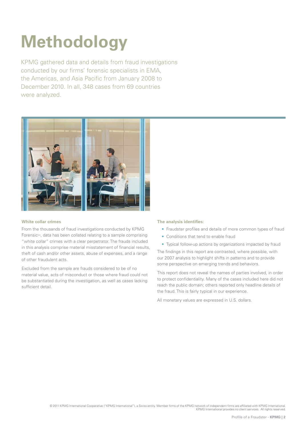# <span id="page-4-0"></span>**Methodology**

KPMG gathered data and details from fraud investigations conducted by our firms' forensic specialists in EMA. the Americas, and Asia Pacific from January 2008 to December 2010. In all, 348 cases from 69 countries were analyzed.



## **White collar crimes**

From the thousands of fraud investigations conducted by KPMG Forensic<sup>SM</sup>, data has been collated relating to a sample comprising "white collar" crimes with a clear perpetrator. The frauds included in this analysis comprise material misstatement of financial results, theft of cash and/or other assets, abuse of expenses, and a range of other fraudulent acts.

Excluded from the sample are frauds considered to be of no material value, acts of misconduct or those where fraud could not be substantiated during the investigation, as well as cases lacking sufficient detail.

## **The analysis identifies:**

- Fraudster profiles and details of more common types of fraud
- Conditions that tend to enable fraud
- Typical follow-up actions by organizations impacted by fraud

The findings in this report are contrasted, where possible, with our 2007 analysis to highlight shifts in patterns and to provide some perspective on emerging trends and behaviors.

This report does not reveal the names of parties involved, in order to protect confidentiality. Many of the cases included here did not reach the public domain; others reported only headline details of the fraud. This is fairly typical in our experience.

All monetary values are expressed in U.S. dollars.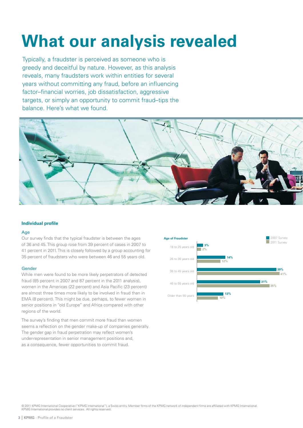# <span id="page-5-0"></span>**What our analysis revealed**

Typically, a fraudster is perceived as someone who is greedy and deceitful by nature. However, as this analysis reveals, many fraudsters work within entities for several years without committing any fraud, before an influencing factor–financial worries, job dissatisfaction, aggressive targets, or simply an opportunity to commit fraud–tips the balance. Here's what we found.



### **Individual profile**

### Age

Our survey finds that the typical fraudster is between the ages of 36 and 45. This group rose from 39 percent of cases in 2007 to 41 percent in 2011. This is closely followed by a group accounting for 35 percent of fraudsters who were between 46 and 55 years old.

### Gender

While men were found to be more likely perpetrators of detected fraud (85 percent in 2007 and 87 percent in the 2011 analysis), women in the Americas (22 percent) and Asia Pacific (23 percent) are almost three times more likely to be involved in fraud than in EMA (8 percent). This might be due, perhaps, to fewer women in senior positions in "old Europe" and Africa compared with other regions of the world.

The survey's finding that men commit more fraud than women seems a reflection on the gender make-up of companies generally. The gender gap in fraud perpetration may reflect women's under-representation in senior management positions and, as a consequence, fewer opportunities to commit fraud.

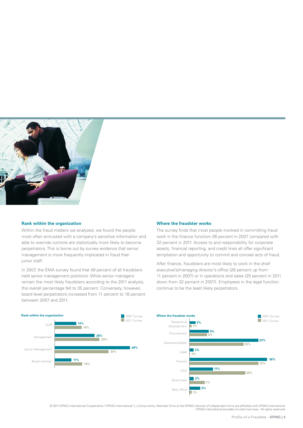

#### **Rank within the organization**

Within the fraud matters we analyzed, we found the people most often entrusted with a company's sensitive information and able to override controls are statistically more likely to become perpetrators. This is borne out by survey evidence that senior management is more frequently implicated in fraud than junior staff.

In 2007, the EMA survey found that 49 percent of all fraudsters held senior management positions. While senior managers remain the most likely fraudsters according to the 2011 analysis, the overall percentage fell to 35 percent. Conversely, however, board level perpetrators increased from 11 percent to 18 percent between 2007 and 2011.

#### **Where the fraudster works**

The survey finds that most people involved in committing fraud work in the finance function–36 percent in 2007 compared with 32 percent in 2011. Access to and responsibility for corporate assets, financial reporting, and credit lines all offer significant temptation and opportunity to commit and conceal acts of fraud.

After finance, fraudsters are most likely to work in the chief executive's/managing director's office (26 percent up from 11 percent in 2007) or in operations and sales (25 percent in 2011 down from 32 percent in 2007). Employees in the legal function continue to be the least likely perpetrators.

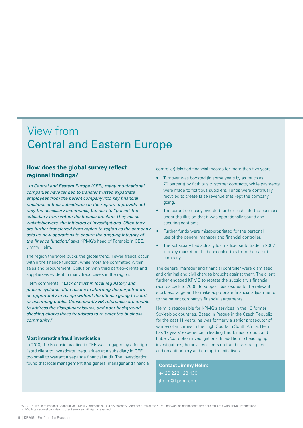# View from Central and Eastern Europe

# **How does the global survey reflect regional findings?**

"In Central and Eastern Europe (CEE), many multinational companies have tended to transfer trusted expatriate employees from the parent company into key financial positions at their subsidiaries in the region, to provide not only the necessary experience, but also to "police" the subsidiary from within the finance function. They act as whistleblowers, the initiators of investigations. Often they are further transferred from region to region as the company sets up new operations to ensure the ongoing integrity of the finance function," says KPMG's head of Forensic in CEE, Jimmy Helm.

The region therefore bucks the global trend. Fewer frauds occur within the finance function, while most are committed within sales and procurement. Collusion with third parties–clients and suppliers–is evident in many fraud cases in the region.

Helm comments: "Lack of trust in local regulatory and judicial systems often results in affording the perpetrators an opportunity to resign without the offense going to court or becoming public. Consequently HR references are unable to address the disciplinary issues, and poor background checking allows these fraudsters to re-enter the business community."

#### **Most interesting fraud investigation**

In 2010, the Forensic practice in CEE was engaged by a foreignlisted client to investigate irregularities at a subsidiary in CEE too small to warrant a separate financial audit. The investigation found that local management (the general manager and financial controller) falsified financial records for more than five years.

- Turnover was boosted (in some years by as much as 70 percent) by fictitious customer contracts, while payments were made to fictitious suppliers. Funds were continually recycled to create false revenue that kept the company going.
- The parent company invested further cash into the business under the illusion that it was operationally sound and securing contracts.
- Further funds were misappropriated for the personal use of the general manager and financial controller.
- The subsidiary had actually lost its license to trade in 2007 in a key market but had concealed this from the parent company.

The general manager and financial controller were dismissed and criminal and civil charges brought against them. The client further engaged KPMG to restate the subsidiary's financial records back to 2005, to support disclosures to the relevant stock exchange and to make appropriate financial adjustments to the parent company's financial statements.

Helm is responsible for KPMG's services in the 18 former Soviet-bloc countries. Based in Prague in the Czech Republic for the past 11 years, he was formerly a senior prosecutor of white-collar crimes in the High Courts in South Africa. Helm has 17 years' experience in leading fraud, misconduct, and bribery/corruption investigations. In addition to heading up investigations, he advises clients on fraud risk strategies and on anti-bribery and corruption initiatives.

**Contact Jimmy Helm:**  +420 222 123 430 [jhelm@kpmg.com](mailto:jhelm@kpmg.com)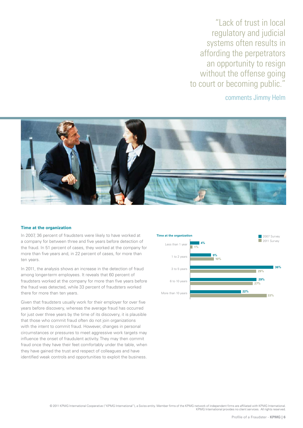"Lack of trust in local regulatory and judicial systems often results in affording the perpetrators an opportunity to resign without the offense going to court or becoming public."

comments Jimmy Helm



### **Time at the organization**

In 2007, 36 percent of fraudsters were likely to have worked at a company for between three and five years before detection of the fraud. In 51 percent of cases, they worked at the company for more than five years and, in 22 percent of cases, for more than ten years.

In 2011, the analysis shows an increase in the detection of fraud among longer-term employees. It reveals that 60 percent of fraudsters worked at the company for more than five years before the fraud was detected, while 33 percent of fraudsters worked there for more than ten years.

Given that fraudsters usually work for their employer for over five years before discovery, whereas the average fraud has occurred for just over three years by the time of its discovery, it is plausible that those who commit fraud often do not join organizations with the intent to commit fraud. However, changes in personal circumstances or pressures to meet aggressive work targets may influence the onset of fraudulent activity. They may then commit fraud once they have their feet comfortably under the table, when they have gained the trust and respect of colleagues and have identified weak controls and opportunities to exploit the business.

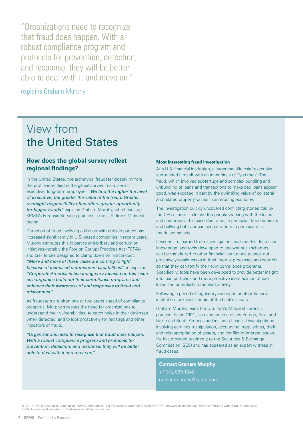"Organizations need to recognize that fraud does happen. With a robust compliance program and protocols for prevention, detection, and response, they will be better able to deal with it and move on."

explains Graham Murphy

# View from the United States

# **How does the global survey reflect regional findings?**

In the United States, the archetypal fraudster closely mirrors the profile identified in the global survey: male, senior executive, long-term employee. "We find the higher the level of executive, the greater the value of the fraud. Greater oversight responsibility often offers greater opportunity for bigger frauds," explains Graham Murphy, who heads up KPMG's Forensic Services practice in the U.S. firm's Midwest region.

Detection of fraud involving collusion with outside parties has increased significantly in U.S.-based companies in recent years. Murphy attributes this in part to anti-bribery and corruption initiatives–notably the Foreign Corrupt Practices Act (FCPA)– and task forces designed to clamp down on misconduct. "More and more of these cases are coming to light because of increased enforcement capabilities," he explains. "Corporate America is becoming very focused on this issue as companies build out their compliance programs and enhance their awareness of and responses to fraud and misconduct."

As fraudsters are often one or two steps ahead of compliance programs, Murphy stresses the need for organizations to understand their vulnerabilities, to patch holes in their defenses when detected, and to look proactively for red flags and other indicators of fraud.

"Organizations need to recognize that fraud does happen. With a robust compliance program and protocols for prevention, detection, and response, they will be better able to deal with it and move on."

#### **Most interesting fraud investigation**

At a U.S. financial institution, a larger-than-life chief executive surrounded himself with an inner circle of "yes men". The fraud, which involved subterfuge and complex bundling and unbundling of loans and transactions to make bad loans appear good, was exposed in part by the dwindling value of collateral and related property values in an eroding economy.

The investigation quickly uncovered conflicting stories told by the CEO's inner circle and the people working with the loans and customers. This case illustrates, in particular, how dominant and bullying behavior can coerce others to participate in fraudulent activity.

Lessons are learned from investigations such as this. Increased knowledge, and tools developed to uncover such schemes, can be transferred to other financial institutions to seek out proactively weaknesses in their internal processes and controls so that they can fortify their own compliance programs. Specifically, tools have been developed to provide better insight into loan portfolios and more proactive identification of bad loans and potentially fraudulent activity.

Following a period of regulatory oversight, another financial institution took over certain of the bank's assets.

Graham Murphy leads the U.S. firm's Midwest Forensic practice. Since 1991, his experience crosses Europe, Asia, and North and South America and includes financial investigations involving earnings manipulation, accounting irregularities, theft and misappropriation of assets, and conflict-of-interest issues. He has provided testimony to the Securities & Exchange Commission (SEC) and has appeared as an expert witness in fraud cases.

**Contact Graham Murphy:**  +1 312 665 1840 [grahammurphy@kpmg.com](mailto:grahammurphy@kpmg.com)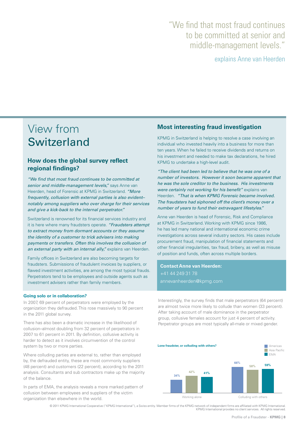# "We find that most fraud continues to be committed at senior and middle-management levels."

explains Anne van Heerden

# View from Switzerland

# **How does the global survey reflect regional findings?**

"We find that most fraud continues to be committed at senior and middle-management levels," says Anne van Heerden, head of Forensic at KPMG in Switzerland. "More frequently, collusion with external parties is also evident– notably among suppliers who over charge for their services and give a kick-back to the internal perpetrator."

Switzerland is renowned for its financial services industry and it is here where many fraudsters operate. "Fraudsters attempt to extract money from dormant accounts or they assume the identity of a customer to trick advisers into making payments or transfers. Often this involves the collusion of an external party with an internal ally," explains van Heerden.

Family offices in Switzerland are also becoming targets for fraudsters. Submissions of fraudulent invoices by suppliers, or flawed investment activities, are among the most typical frauds. Perpetrators tend to be employees and outside agents such as investment advisers rather than family members.

### **Going solo or in collaboration?**

In 2007, 69 percent of perpetrators were employed by the organization they defrauded. This rose massively to 90 percent in the 2011 global survey.

There has also been a dramatic increase in the likelihood of collusion–almost doubling from 32 percent of perpetrators in 2007 to 61 percent in 2011. By definition, collusive activity is harder to detect as it involves circumvention of the control system by two or more parties.

Where colluding parties are external to, rather than employed by, the defrauded entity, these are most commonly suppliers (48 percent) and customers (22 percent), according to the 2011 analysis. Consultants and sub contractors make up the majority of the balance.

In parts of EMA, the analysis reveals a more marked pattern of collusion between employees and suppliers of the victim organization than elsewhere in the world.

# **Most interesting fraud investigation**

KPMG in Switzerland is helping to resolve a case involving an individual who invested heavily into a business for more than ten years. When he failed to receive dividends and returns on his investment and needed to make tax declarations, he hired KPMG to undertake a high-level audit.

"The client had been led to believe that he was one of a number of investors. However it soon became apparent that he was the sole creditor to the business. His investments were certainly not working for his benefit" explains van Heerden. "That is when KPMG Forensic became involved. The fraudsters had siphoned off the client's money over a number of years to fund their extravagant lifestyles."

Anne van Heerden is head of Forensic, Risk and Compliance at KPMG in Switzerland. Working with KPMG since 1986, he has led many national and international economic crime investigations across several industry sectors. His cases include procurement fraud, manipulation of financial statements and other financial irregularities, tax fraud, bribery, as well as misuse of position and funds, often across multiple borders.

**Contact Anne van Heerden:**  +41 44 249 31 78 [annevanheerden@kpmg.com](mailto:annevanheerden@kpmg.com) 

Interestingly, the survey finds that male perpetrators (64 percent) are almost twice more likely to collude than women (33 percent). After taking account of male dominance in the perpetrator group, collusive females account for just 4 percent of activity. Perpetrator groups are most typically all-male or mixed gender.

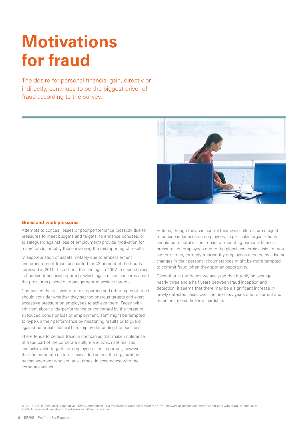# <span id="page-11-0"></span>**Motivations for fraud**

The desire for personal financial gain, directly or indirectly, continues to be the biggest driver of fraud according to the survey.



#### **Greed and work pressures**

Attempts to conceal losses or poor performance (possibly due to pressures to meet budgets and targets, to enhance bonuses, or to safeguard against loss of employment) provide motivation for many frauds, notably those involving the misreporting of results.

Misappropriation of assets, notably due to embezzlement and procurement fraud, accounted for 43 percent of the frauds surveyed in 2011. This echoes the findings in 2007. In second place is fraudulent financial reporting, which again raises concerns about the pressures placed on management to achieve targets.

Companies that fall victim to misreporting and other types of fraud should consider whether they set too onerous targets and exert excessive pressure on employees to achieve them. Faced with criticism about underperformance or concerned by the threat of a reduced bonus or loss of employment, staff might be tempted to hype up their performance by misstating results or to guard against potential financial hardship by defrauding the business.

There tends to be less fraud in companies that make intolerance of fraud part of the corporate culture and which set realistic and achievable targets for employees. It is important, however, that the corporate culture is cascaded across the organization by management who act, at all times, in accordance with the corporate values.

Entities, though they can control their own cultures, are subject to outside influences on employees. In particular, organizations should be mindful of the impact of mounting personal financial pressures on employees due to the global economic crisis. In more austere times, formerly trustworthy employees affected by adverse changes in their personal circumstances might be more tempted to commit fraud when they spot an opportunity.

Given that in the frauds we analyzed that it took, on average, nearly three and a half years between fraud inception and detection, it seems that there may be a significant increase in newly detected cases over the next few years due to current and recent increased financial hardship.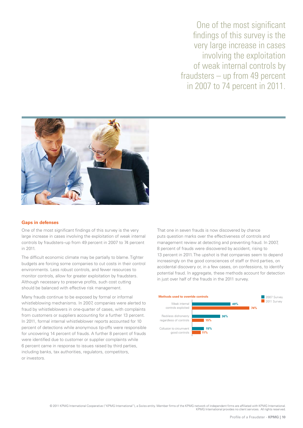One of the most significant findings of this survey is the very large increase in cases involving the exploitation of weak internal controls by fraudsters – up from 49 percent in 2007 to 74 percent in 2011.



#### **Gaps in defenses**

One of the most significant findings of this survey is the very large increase in cases involving the exploitation of weak internal controls by fraudsters–up from 49 percent in 2007 to 74 percent in 2011.

The difficult economic climate may be partially to blame. Tighter budgets are forcing some companies to cut costs in their control environments. Less robust controls, and fewer resources to monitor controls, allow for greater exploitation by fraudsters. Although necessary to preserve profits, such cost cutting should be balanced with effective risk management.

Many frauds continue to be exposed by formal or informal whistleblowing mechanisms. In 2007, companies were alerted to fraud by whistleblowers in one-quarter of cases, with complaints from customers or suppliers accounting for a further 13 percent. In 2011, formal internal whistleblower reports accounted for 10 percent of detections while anonymous tip-offs were responsible for uncovering 14 percent of frauds. A further 8 percent of frauds were identified due to customer or supplier complaints while 6 percent came in response to issues raised by third parties, including banks, tax authorities, regulators, competitors, or investors.

That one in seven frauds is now discovered by chance puts question marks over the effectiveness of controls and management review at detecting and preventing fraud. In 2007, 8 percent of frauds were discovered by accident, rising to 13 percent in 2011. The upshot is that companies seem to depend increasingly on the good consciences of staff or third parties, on accidental discovery or, in a few cases, on confessions, to identify potential fraud. In aggregate, these methods account for detection in just over half of the frauds in the 2011 survey.

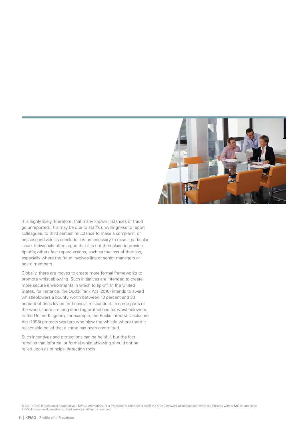

It is highly likely, therefore, that many known instances of fraud go unreported. This may be due to staff's unwillingness to report colleagues, to third parties' reluctance to make a complaint, or because individuals conclude it is unnecessary to raise a particular issue. Individuals often argue that it is not their place to provide tip-offs; others fear repercussions, such as the loss of their job, especially where the fraud involves line or senior managers or board members.

Globally, there are moves to create more formal frameworks to promote whistleblowing. Such initiatives are intended to create more secure environments in which to tip-off. In the United States, for instance, the Dodd-Frank Act (2010) intends to award whistleblowers a bounty worth between 10 percent and 30 percent of fines levied for financial misconduct. In some parts of the world, there are long-standing protections for whistleblowers. In the United Kingdom, for example, the Public Interest Disclosure Act (1998) protects workers who blow the whistle where there is reasonable belief that a crime has been committed.

Such incentives and protections can be helpful, but the fact remains that informal or formal whistleblowing should not be relied upon as principal detection tools.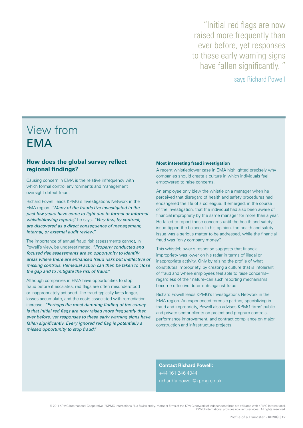"Initial red flags are now raised more frequently than ever before, yet responses to these early warning signs have fallen significantly. "

# says Richard Powell

# View from **FMA**

# **How does the global survey reflect regional findings?**

Causing concern in EMA is the relative infrequency with which formal control environments and management oversight detect fraud.

Richard Powell leads KPMG's Investigations Network in the EMA region. "Many of the frauds I've investigated in the past few years have come to light due to formal or informal whistleblowing reports," he says. "Very few, by contrast, are discovered as a direct consequence of management, internal, or external audit review."

The importance of annual fraud risk assessments cannot, in Powell's view, be underestimated. "Properly conducted and focused risk assessments are an opportunity to identify areas where there are enhanced fraud risks but ineffective or missing controls. Remedial action can then be taken to close the gap and to mitigate the risk of fraud."

Although companies in EMA have opportunities to stop fraud before it escalates, red flags are often misunderstood or inappropriately actioned. The fraud typically lasts longer, losses accumulate, and the costs associated with remediation increase. "Perhaps the most damning finding of the survey is that initial red flags are now raised more frequently than ever before, yet responses to these early warning signs have fallen significantly. Every ignored red flag is potentially a missed opportunity to stop fraud."

#### **Most interesting fraud investigation**

A recent whistleblower case in EMA highlighted precisely why companies should create a culture in which individuals feel empowered to raise concerns.

An employee only blew the whistle on a manager when he perceived that disregard of health and safety procedures had endangered the life of a colleague. It emerged, in the course of the investigation, that the individual had also been aware of financial impropriety by the same manager for more than a year. He failed to report those concerns until the health and safety issue tipped the balance. In his opinion, the health and safety issue was a serious matter to be addressed, while the financial fraud was "only company money".

This whistleblower's response suggests that financial impropriety was lower on his radar in terms of illegal or inappropriate activity. Only by raising the profile of what constitutes impropriety, by creating a culture that is intolerant of fraud and where employees feel able to raise concerns– regardless of their nature–can such reporting mechanisms become effective deterrents against fraud.

Richard Powell leads KPMG's Investigations Network in the EMA region. An experienced forensic partner, specializing in fraud and impropriety, Powell also advises KPMG firms' public and private sector clients on project and program controls, performance improvement, and contract compliance on major construction and infrastructure projects.

**Contact Richard Powell:**  +44 161 246 4044 [richardfa.powell@kpmg.co.uk](mailto:richardfa.powell@kpmg.co.uk)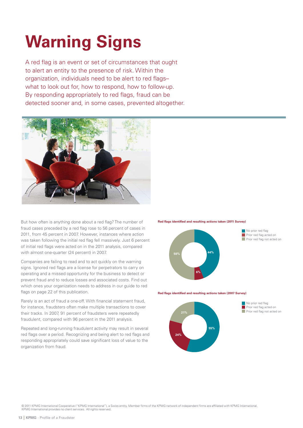# <span id="page-15-0"></span>**Warning Signs**

A red flag is an event or set of circumstances that ought to alert an entity to the presence of risk. Within the organization, individuals need to be alert to red flagswhat to look out for, how to respond, how to follow-up. By responding appropriately to red flags, fraud can be detected sooner and, in some cases, prevented altogether.



But how often is anything done about a red flag? The number of fraud cases preceded by a red flag rose to 56 percent of cases in 2011, from 45 percent in 2007. However, instances where action was taken following the initial red flag fell massively. Just 6 percent of initial red flags were acted on in the 2011 analysis, compared with almost one-quarter (24 percent) in 2007.

Companies are failing to read and to act quickly on the warning signs. Ignored red flags are a license for perpetrators to carry on operating and a missed opportunity for the business to detect or prevent fraud and to reduce losses and associated costs. Find out which ones your organization needs to address in our guide to red flags on page 22 of this publication.

Rarely is an act of fraud a one-off. With financial statement fraud, for instance, fraudsters often make multiple transactions to cover their tracks. In 2007, 91 percent of fraudsters were repeatedly fraudulent, compared with 96 percent in the 2011 analysis.

Repeated and long-running fraudulent activity may result in several red flags over a period. Recognizing and being alert to red flags and responding appropriately could save significant loss of value to the organization from fraud.





**Red flags identified and resulting actions taken (2007 Survey)** 



 $\blacksquare$  No prior red flag Prior red flag acted on  $\blacksquare$  Prior red flag not acted on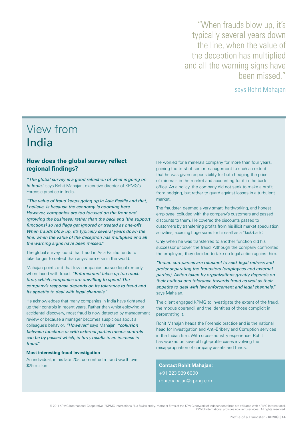"When frauds blow up, it's typically several years down the line, when the value of the deception has multiplied and all the warning signs have been missed."

says Rohit Mahajan

# View from India

# **How does the global survey reflect regional findings?**

"The global survey is a good reflection of what is going on in India," says Rohit Mahajan, executive director of KPMG's Forensic practice in India.

"The value of fraud keeps going up in Asia Pacific and that, I believe, is because the economy is booming here. However, companies are too focused on the front end (growing the business) rather than the back end (the support functions) so red flags get ignored or treated as one-offs. When frauds blow up, it's typically several years down the line, when the value of the deception has multiplied and all the warning signs have been missed."

The global survey found that fraud in Asia Pacific tends to take longer to detect than anywhere else in the world.

Mahajan points out that few companies pursue legal remedy when faced with fraud. "Enforcement takes up too much time, which companies are unwilling to spend. The company's response depends on its tolerance to fraud and its appetite to deal with legal channels."

He acknowledges that many companies in India have tightened up their controls in recent years. Rather than whistleblowing or accidental discovery, most fraud is now detected by management review or because a manager becomes suspicious about a colleague's behavior. "However," says Mahajan, "collusion between functions or with external parties means controls can be by passed which, in turn, results in an increase in fraud."

### **Most interesting fraud investigation**

An individual, in his late 20s, committed a fraud worth over \$25 million.

He worked for a minerals company for more than four years, gaining the trust of senior management to such an extent that he was given responsibility for both hedging the price of minerals in the market and accounting for it in the back office. As a policy, the company did not seek to make a profit from hedging, but rather to guard against losses in a turbulent market.

The fraudster, deemed a very smart, hardworking, and honest employee, colluded with the company's customers and passed discounts to them. He covered the discounts passed to customers by transferring profits from his illicit market speculation activities, accruing huge sums for himself as a "kick-back".

Only when he was transferred to another function did his successor uncover the fraud. Although the company confronted the employee, they decided to take no legal action against him.

"Indian companies are reluctant to seek legal redress and prefer separating the fraudsters (employees and external parties). Action taken by organizations greatly depends on their outlook and tolerance towards fraud as well as their appetite to deal with law enforcement and legal channels." says Mahajan.

The client engaged KPMG to investigate the extent of the fraud, the modus operandi, and the identities of those complicit in perpetrating it.

Rohit Mahajan heads the Forensic practice and is the national head for Investigation and Anti-Bribery and Corruption services in the Indian firm. With cross-industry experience, Rohit has worked on several high-profile cases involving the misappropriation of company assets and funds.

**Contact Rohit Mahajan:**  +91 223 989 6000 [rohitmahajan@kpmg.com](mailto:rohitmahajan@kpmg.com)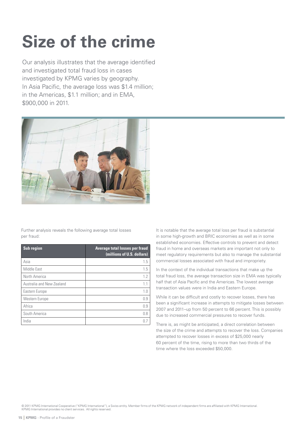# <span id="page-17-0"></span>**Size of the crime**

Our analysis illustrates that the average identified and investigated total fraud loss in cases investigated by KPMG varies by geography. In Asia Pacific, the average loss was \$1.4 million; in the Americas, \$1.1 million; and in EMA, \$900,000 in 2011.



Further analysis reveals the following average total losses per fraud:

| Sub region                | <b>Average total losses per fraud</b><br>(millions of U.S. dollars) |
|---------------------------|---------------------------------------------------------------------|
| Asia                      | 1.5                                                                 |
| Middle East               | 1.5                                                                 |
| North America             | 1.2                                                                 |
| Australia and New Zealand | 1.1                                                                 |
| Eastern Europe            | 1.0                                                                 |
| Western Europe            | 0.9                                                                 |
| Africa                    | 0.9                                                                 |
| South America             | 0.8                                                                 |
| India                     |                                                                     |

It is notable that the average total loss per fraud is substantial in some high-growth and BRIC economies as well as in some established economies. Effective controls to prevent and detect fraud in home and overseas markets are important not only to meet regulatory requirements but also to manage the substantial commercial losses associated with fraud and impropriety.

In the context of the individual transactions that make up the total fraud loss, the average transaction size in EMA was typically half that of Asia Pacific and the Americas. The lowest average transaction values were in India and Eastern Europe.

While it can be difficult and costly to recover losses, there has been a significant increase in attempts to mitigate losses between 2007 and 2011–up from 50 percent to 66 percent. This is possibly due to increased commercial pressures to recover funds.

There is, as might be anticipated, a direct correlation between the size of the crime and attempts to recover the loss. Companies attempted to recover losses in excess of \$25,000 nearly 60 percent of the time, rising to more than two thirds of the time where the loss exceeded \$50,000.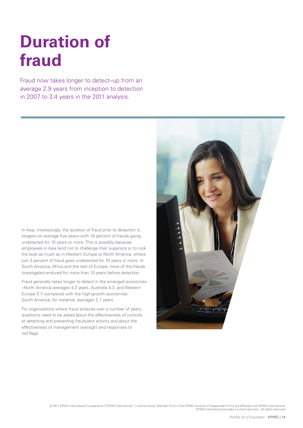# <span id="page-18-0"></span>**Duration of fraud**

Fraud now takes longer to detect–up from an average 2.9 years from inception to detection in 2007 to 3.4 years in the 2011 analysis.

In Asia, interestingly, the duration of fraud prior to detection is longest–on average five years–with 16 percent of frauds going undetected for 10 years or more. This is possibly because employees in Asia tend not to challenge their superiors or to rock the boat as much as in Western Europe or North America, where just 3 percent of fraud goes undetected for 10 years or more. In South America, Africa and the rest of Europe, none of the frauds investigated endured for more than 10 years before detection.

Fraud generally takes longer to detect in the emerged economies –North America averages 4.2 years, Australia 4.3, and Western Europe 3.7–compared with the high-growth economies. South America, for instance, averages 2.1 years.

For organizations where fraud endures over a number of years, questions need to be asked about the effectiveness of controls at detecting and preventing fraudulent activity and about the effectiveness of management oversight and responses to red flags.

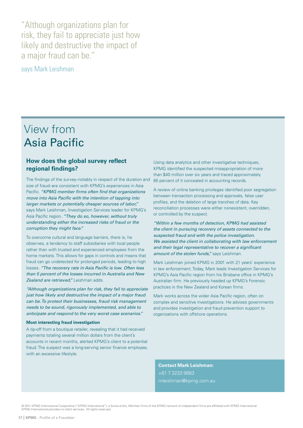"Although organizations plan for risk, they fail to appreciate just how likely and destructive the impact of a major fraud can be."

says Mark Leishman

# View from Asia Pacific

# **How does the global survey reflect regional findings?**

The findings of the survey–notably in respect of the duration and size of fraud–are consistent with KPMG's experiences in Asia Pacific. "KPMG member firms often find that organizations move into Asia Pacific with the intention of tapping into larger markets or potentially cheaper sources of labor." says Mark Leishman, Investigation Services leader for KPMG's Asia Pacific region. "They do so, however, without truly understanding either the increased risks of fraud or the corruption they might face."

To overcome cultural and language barriers, there is, he observes, a tendency to staff subsidiaries with local people rather than with trusted and experienced employees from the home markets. This allows for gaps in controls and means that fraud can go undetected for prolonged periods, leading to high losses. "The recovery rate in Asia Pacific is low. Often less than 5 percent of the losses incurred in Australia and New Zealand are retrieved," Leishman adds.

"Although organizations plan for risk, they fail to appreciate just how likely and destructive the impact of a major fraud can be. To protect their businesses, fraud risk management needs to be sound, rigorously implemented, and able to anticipate and respond to the very worst case scenarios."

## **Most interesting fraud investigation**

A tip-off from a boutique retailer, revealing that it had received payments totaling several million dollars from the client's accounts in recent months, alerted KPMG's client to a potential fraud. The suspect was a long-serving senior finance employee, with an excessive lifestyle.

Using data analytics and other investigative techniques, KPMG identified the suspected misappropriation of more than \$40 million over six years and traced approximately 85 percent of it concealed in accounting records.

A review of online banking privileges identified poor segregation between transaction processing and approvals, false user profiles, and the deletion of large tranches of data. Key reconciliation processes were either nonexistent, overridden, or controlled by the suspect.

"Within a few months of detection, KPMG had assisted the client in pursuing recovery of assets connected to the suspected fraud and with the police investigation. We assisted the client in collaborating with law enforcement and their legal representative to recover a significant amount of the stolen funds," says Leishman.

Mark Leishman joined KPMG in 2001 with 21 years' experience in law enforcement. Today, Mark leads Investigation Services for KPMG's Asia Pacific region from his Brisbane office in KPMG's Australian firm. He previously headed up KPMG's Forensic practices in the New Zealand and Korean firms.

Mark works across the wider Asia Pacific region, often on complex and sensitive investigations. He advises governments and provides investigation and fraud prevention support to organizations with offshore operations.

**Contact Mark Leishman:**  +61 7 3233 9683 [mleishman@kpmg.com.au](mailto:mleishman@kpmg.com.au)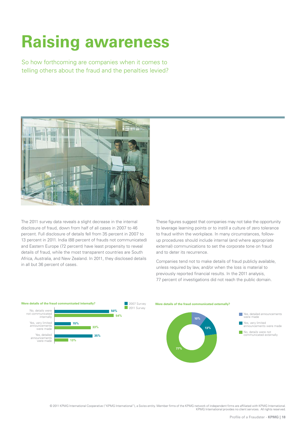# <span id="page-20-0"></span>**Raising awareness**

So how forthcoming are companies when it comes to telling others about the fraud and the penalties levied?



The 2011 survey data reveals a slight decrease in the internal disclosure of fraud, down from half of all cases in 2007 to 46 percent. Full disclosure of details fell from 35 percent in 2007 to 13 percent in 2011. India (88 percent of frauds not communicated) and Eastern Europe (72 percent) have least propensity to reveal details of fraud, while the most transparent countries are South Africa, Australia, and New Zealand. In 2011, they disclosed details in all but 36 percent of cases.

These figures suggest that companies may not take the opportunity to leverage learning points or to instill a culture of zero tolerance to fraud within the workplace. In many circumstances, followup procedures should include internal (and where appropriate external) communications to set the corporate tone on fraud and to deter its recurrence.

Companies tend not to make details of fraud publicly available, unless required by law, and/or when the loss is material to previously reported financial results. In the 2011 analysis, 77 percent of investigations did not reach the public domain.

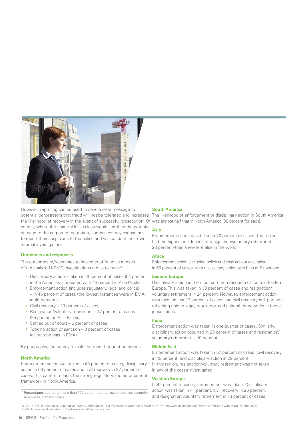

However, reporting can be used to send a clear message to the likelihood of recovery in the event of successful prosecution. Of was almost half that in North America (36 percent for each). course, where the financial loss is less significant than the potential damage to the corporate reputation, companies may choose not to report their suspicions to the police and will conduct their own internal investigations.

## **Outcomes and responses**

The outcomes of/responses to incidents of fraud as a result of the analyzed KPMG investigations are as follows:\*

- Disciplinary action taken in 40 percent of cases (54 percent in the Americas, compared with 23 percent in Asia Pacific);
- Enforcement action (includes regulatory, legal and police) – in 45 percent of cases (the lowest instances were in EMA at 40 percent);
- Civil recovery 23 percent of cases:
- Resignation/voluntary retirement 17 percent of cases (25 percent in Asia Pacific);
- Settled out of court 6 percent of cases;
- Took no action or sanction  $-3$  percent of cases (all but one was in EMA).

By geography, the survey reveals the most frequent outcomes:

#### **North America**

Enforcement action was taken in 63 percent of cases, disciplinary action in 66 percent of cases and civil recovery in 37 percent of cases. This pattern reflects the strong regulatory and enforcement framework in North America.

#### **South America**

potential perpetrators that fraud will not be tolerated and increases The likelihood of enforcement or disciplinary action in South America

#### **Asia**

Enforcement action was taken in 40 percent of cases. The region had the highest incidences of resignation/voluntary retirement– 28 percent–than anywhere else in the world.

#### **Africa**

Enforcement action (including police and legal action) was taken in 65 percent of cases, with disciplinary action also high at 51 percent.

### **Eastern Europe**

Disciplinary action is the most common recourse of fraud in Eastern Europe. This was taken in 33 percent of cases and resignation/ voluntary retirement in 24 percent. However, enforcement action was taken in just 17 percent of cases and civil recovery in 2 percent, reflecting unique legal, regulatory, and cultural frameworks in these jurisdictions.

### **India**

Enforcement action was taken in one-quarter of cases. Similarly, disciplinary action occurred in 25 percent of cases and resignation/ voluntary retirement in 19 percent.

### **Middle East**

Enforcement action was taken in 57 percent of cases, civil recovery in 43 percent, and disciplinary action in 29 percent. In this region, resignation/voluntary retirement was not taken in any of the cases investigated.

#### **Western Europe**

In 42 percent of cases, enforcement was taken. Disciplinary action was taken in 41 percent, civil recovery in 26 percent, and resignation/voluntary retirement in 13 percent of cases.

<sup>\*</sup> Percentages add up to more than 100 percent due to multiple outcomes/entity responses in many cases.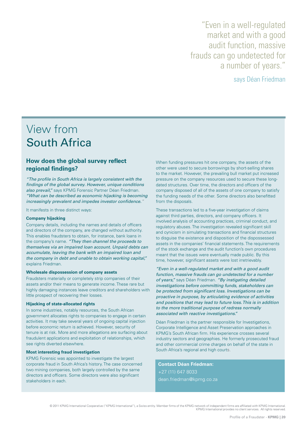"Even in a well-regulated market and with a good audit function, massive frauds can go undetected for a number of years."

says Déan Friedman

# View from South Africa

# **How does the global survey reflect regional findings?**

"The profile in South Africa is largely consistent with the findings of the global survey. However, unique conditions also prevail." says KPMG Forensic Partner Déan Friedman. "What can be described as economic hijacking is becoming increasingly prevalent and impedes investor confidence."

It manifests in three distinct ways:

# **Company hijacking**

Company details, including the names and details of officers and directors of the company, are changed without authority. This enables fraudsters to obtain, for instance, bank loans in the company's name. "They then channel the proceeds to themselves via an impaired loan account. Unpaid debts can accumulate, leaving the bank with an impaired loan and the company in debt and unable to obtain working capital," explains Friedman.

### **Wholesale dispossession of company assets**

Fraudsters materially or completely strip companies of their assets and/or their means to generate income. These rare but highly damaging instances leave creditors and shareholders with little prospect of recovering their losses.

## **Hijacking of state-allocated rights**

In some industries, notably resources, the South African government allocates rights to companies to engage in certain activities. It may take several years of ongoing capital injection before economic return is achieved. However, security of tenure is at risk. More and more allegations are surfacing about fraudulent applications and exploitation of relationships, which see rights diverted elsewhere.

### **Most interesting fraud investigation**

KPMG Forensic was appointed to investigate the largest corporate fraud in South Africa's history. The case concerned two mining companies, both largely controlled by the same directors and officers. Some directors were also significant stakeholders in each.

When funding pressures hit one company, the assets of the other were used to secure borrowings by short-selling shares to the market. However, the prevailing bull market put increased pressure on the company resources used to secure these longdated structures. Over time, the directors and officers of the company disposed of all of the assets of one company to satisfy the funding needs of the other. Some directors also benefitted from the disposals.

These transactions led to a five-year investigation of claims against third parties, directors, and company officers. It involved analysis of accounting practices, criminal conduct, and regulatory abuses. The investigation revealed significant skill and cynicism in simulating transactions and financial structures to disguise the existence and disposition of the dispossessed assets in the companies' financial statements. The requirements of the stock exchange and the audit function's own procedures meant that the issues were eventually made public. By this time, however, significant assets were lost irretrievably.

"Even in a well-regulated market and with a good audit function, massive frauds can go undetected for a number of years," says Déan Friedman. "By instigating detailed investigations before committing funds, stakeholders can be protected from significant loss. Investigations can be proactive in purpose, by articulating evidence of activities and positions that may lead to future loss. This is in addition to the more traditional purpose of redress normally associated with reactive investigations."

Déan Friedman is the partner responsible for Investigations, Corporate Intelligence and Asset Preservation approaches in KPMG's South African firm. His experience crosses several industry sectors and geographies. He formerly prosecuted fraud and other commercial crime charges on behalf of the state in South Africa's regional and high courts.

**Contact Déan Friedman:**  +27 (11) 647 8033 [dean.friedman@kpmg.co.za](mailto:dean.friedman@kpmg.co.za)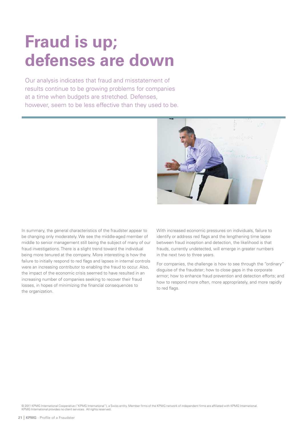# <span id="page-23-0"></span>**Fraud is up; defenses are down**

Our analysis indicates that fraud and misstatement of results continue to be growing problems for companies at a time when budgets are stretched. Defenses, however, seem to be less effective than they used to be.



In summary, the general characteristics of the fraudster appear to be changing only moderately. We see the middle-aged member of middle to senior management still being the subject of many of our fraud investigations. There is a slight trend toward the individual being more tenured at the company. More interesting is how the failure to initially respond to red flags and lapses in internal controls were an increasing contributor to enabling the fraud to occur. Also, the impact of the economic crisis seemed to have resulted in an increasing number of companies seeking to recover their fraud losses, in hopes of minimizing the financial consequences to the organization.

With increased economic pressures on individuals, failure to identify or address red flags and the lengthening time lapse between fraud inception and detection, the likelihood is that frauds, currently undetected, will emerge in greater numbers in the next two to three years.

For companies, the challenge is how to see through the "ordinary" disguise of the fraudster; how to close gaps in the corporate armor; how to enhance fraud prevention and detection efforts; and how to respond more often, more appropriately, and more rapidly to red flags.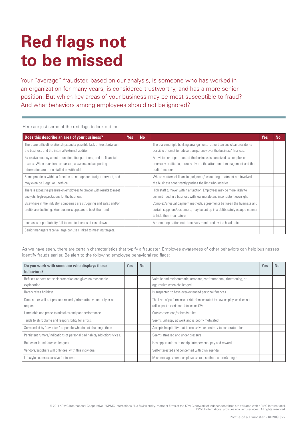# <span id="page-24-0"></span>**Red flags not to be missed**

Your "average" fraudster, based on our analysis, is someone who has worked in an organization for many years, is considered trustworthy, and has a more senior position. But which key areas of your business may be most susceptible to fraud? And what behaviors among employees should not be ignored?

Here are just some of the red flags to look out for:

| Does this describe an area of your business?                                                                                                                                     | Yes: | <b>No</b> |                                                                                                                                                                                  | Yes | <b>No</b> |
|----------------------------------------------------------------------------------------------------------------------------------------------------------------------------------|------|-----------|----------------------------------------------------------------------------------------------------------------------------------------------------------------------------------|-----|-----------|
| There are difficult relationships and a possible lack of trust between                                                                                                           |      |           | There are multiple banking arrangements rather than one clear provider-a                                                                                                         |     |           |
| the business and the internal/external auditor.                                                                                                                                  |      |           | possible attempt to reduce transparency over the business' finances.                                                                                                             |     |           |
| Excessive secrecy about a function, its operations, and its financial<br>results. When questions are asked, answers and supporting<br>information are often stalled or withheld. |      |           | A division or department of the business is perceived as complex or<br>unusually profitable, thereby diverts the attention of management and the<br>audit functions.             |     |           |
| Some practices within a function do not appear straight-forward, and<br>may even be illegal or unethical.                                                                        |      |           | Where matters of financial judgment/accounting treatment are involved,<br>the business consistently pushes the limits/boundaries.                                                |     |           |
| There is excessive pressure on employees to tamper with results to meet<br>analysts' high expectations for the business.                                                         |      |           | High staff turnover within a function. Employees may be more likely to<br>commit fraud in a business with low morale and inconsistent oversight.                                 |     |           |
| Elsewhere in the industry, companies are struggling and sales and/or<br>profits are declining. Your business appears to buck the trend.                                          |      |           | Complex/unusual payment methods, agreements between the business and<br>certain suppliers/customers, may be set up in a deliberately opaque manner<br>to hide their true nature. |     |           |
| Increases in profitability fail to lead to increased cash flows.                                                                                                                 |      |           | A remote operation not effectively monitored by the head office.                                                                                                                 |     |           |
| Senior managers receive large bonuses linked to meeting targets.                                                                                                                 |      |           |                                                                                                                                                                                  |     |           |

As we have seen, there are certain characteristics that typify a fraudster. Employee awareness of other behaviors can help businesses identify frauds earlier. Be alert to the following employee behavioral red flags:

| Do you work with someone who displays these<br>behaviors?                      | <b>Yes</b> | <b>No</b> |                                                                                                                      | <b>Yes</b> | <b>No</b> |
|--------------------------------------------------------------------------------|------------|-----------|----------------------------------------------------------------------------------------------------------------------|------------|-----------|
| Refuses or does not seek promotion and gives no reasonable<br>explanation.     |            |           | Volatile and melodramatic, arrogant, confrontational, threatening, or<br>aggressive when challenged.                 |            |           |
| Rarely takes holidays.                                                         |            |           | Is suspected to have over-extended personal finances.                                                                |            |           |
| Does not or will not produce records/information voluntarily or on<br>request. |            |           | The level of performance or skill demonstrated by new employees does not<br>reflect past experience detailed on CVs. |            |           |
| Unreliable and prone to mistakes and poor performance.                         |            |           | Cuts corners and/or bends rules.                                                                                     |            |           |
| Tends to shift blame and responsibility for errors.                            |            |           | Seems unhappy at work and is poorly motivated.                                                                       |            |           |
| Surrounded by "favorites" or people who do not challenge them.                 |            |           | Accepts hospitality that is excessive or contrary to corporate rules.                                                |            |           |
| Persistent rumors/indications of personal bad habits/addictions/vices.         |            |           | Seems stressed and under pressure.                                                                                   |            |           |
| Bullies or intimidates colleagues.                                             |            |           | Has opportunities to manipulate personal pay and reward.                                                             |            |           |
| Vendors/suppliers will only deal with this individual.                         |            |           | Self-interested and concerned with own agenda.                                                                       |            |           |
| Lifestyle seems excessive for income.                                          |            |           | Micromanages some employees; keeps others at arm's length.                                                           |            |           |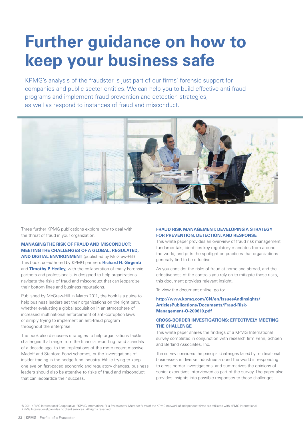# <span id="page-25-0"></span>**Further guidance on how to keep your business safe**

KPMG's analysis of the fraudster is just part of our firms' forensic support for companies and public-sector entities. We can help you to build effective anti-fraud programs and implement fraud prevention and detection strategies, as well as respond to instances of fraud and misconduct.



Three further KPMG publications explore how to deal with the threat of fraud in your organization.

**MANAGING THE RISK OF FRAUD AND MISCONDUCT: MEETING THE CHALLENGES OF A GLOBAL, REGULATED, AND DIGITAL ENVIRONMENT** (published by McGraw-Hill) This book, co-authored by KPMG partners **Richard H. Girgenti**  and **Timothy P. Hedley,** with the collaboration of many Forensic partners and professionals, is designed to help organizations navigate the risks of fraud and misconduct that can jeopardize their bottom lines and business reputations.

Published by McGraw-Hill in March 2011, the book is a guide to help business leaders set their organizations on the right path, whether evaluating a global acquisition in an atmosphere of increased multinational enforcement of anti-corruption laws or simply trying to implement an anti-fraud program throughout the enterprise.

The book also discusses strategies to help organizations tackle challenges that range from the financial reporting fraud scandals of a decade ago, to the implications of the more recent massive Madoff and Stanford Ponzi schemes, or the investigations of insider trading in the hedge fund industry. While trying to keep one eye on fast-paced economic and regulatory changes, business leaders should also be attentive to risks of fraud and misconduct that can jeopardize their success.

# **FRAUD RISK MANAGEMENT: DEVELOPING A STRATEGY FOR PREVENTION, DETECTION, AND RESPONSE**

This white paper provides an overview of fraud risk management fundamentals, identifies key regulatory mandates from around the world, and puts the spotlight on practices that organizations generally find to be effective.

As you consider the risks of fraud at home and abroad, and the effectiveness of the controls you rely on to mitigate those risks, this document provides relevant insight.

To view the document online, go to:

# **[http://www.kpmg.com/CN/en/IssuesAndInsights/](http://www.kpmg.com/CN/en/IssuesAndInsights/ArticlesPublications/Documents/Fraud-Risk-Management-O-200610.pdf)  ArticlesPublications/Documents/Fraud-Risk-Management-O-200610.pdf**

# **CROSS-BORDER INVESTIGATIONS: EFFECTIVELY MEETING THE CHALLENGE**

This white paper shares the findings of a KPMG International survey completed in conjunction with research firm Penn, Schoen and Berland Associates, Inc.

The survey considers the principal challenges faced by multinational businesses in diverse industries around the world in responding to cross-border investigations, and summarizes the opinions of senior executives interviewed as part of the survey. The paper also provides insights into possible responses to those challenges.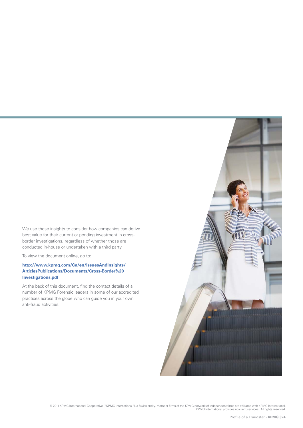We use those insights to consider how companies can derive best value for their current or pending investment in crossborder investigations, regardless of whether those are conducted in-house or undertaken with a third party.

To view the document online, go to:

# **[http://www.kpmg.com/Ca/en/IssuesAndInsights/](http://www.kpmg.com/Ca/en/IssuesAndInsights/ArticlesPublications/Documents/Cross-Border%20Investigations.pdf) ArticlesPublications/Documents/Cross-Border%20 Investigations.pdf**

At the back of this document, find the contact details of a number of KPMG Forensic leaders in some of our accredited practices across the globe who can guide you in your own anti-fraud activities.